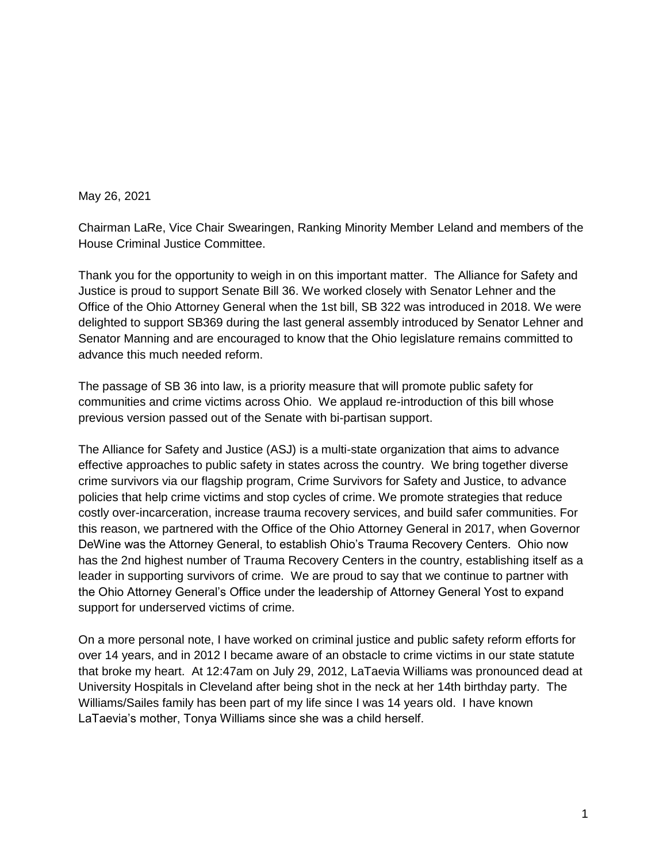## May 26, 2021

Chairman LaRe, Vice Chair Swearingen, Ranking Minority Member Leland and members of the House Criminal Justice Committee.

Thank you for the opportunity to weigh in on this important matter. The Alliance for Safety and Justice is proud to support Senate Bill 36. We worked closely with Senator Lehner and the Office of the Ohio Attorney General when the 1st bill, SB 322 was introduced in 2018. We were delighted to support SB369 during the last general assembly introduced by Senator Lehner and Senator Manning and are encouraged to know that the Ohio legislature remains committed to advance this much needed reform.

The passage of SB 36 into law, is a priority measure that will promote public safety for communities and crime victims across Ohio. We applaud re-introduction of this bill whose previous version passed out of the Senate with bi-partisan support.

The Alliance for Safety and Justice (ASJ) is a multi-state organization that aims to advance effective approaches to public safety in states across the country. We bring together diverse crime survivors via our flagship program, Crime Survivors for Safety and Justice, to advance policies that help crime victims and stop cycles of crime. We promote strategies that reduce costly over-incarceration, increase trauma recovery services, and build safer communities. For this reason, we partnered with the Office of the Ohio Attorney General in 2017, when Governor DeWine was the Attorney General, to establish Ohio's Trauma Recovery Centers. Ohio now has the 2nd highest number of Trauma Recovery Centers in the country, establishing itself as a leader in supporting survivors of crime. We are proud to say that we continue to partner with the Ohio Attorney General's Office under the leadership of Attorney General Yost to expand support for underserved victims of crime.

On a more personal note, I have worked on criminal justice and public safety reform efforts for over 14 years, and in 2012 I became aware of an obstacle to crime victims in our state statute that broke my heart. At 12:47am on July 29, 2012, LaTaevia Williams was pronounced dead at University Hospitals in Cleveland after being shot in the neck at her 14th birthday party. The Williams/Sailes family has been part of my life since I was 14 years old. I have known LaTaevia's mother, Tonya Williams since she was a child herself.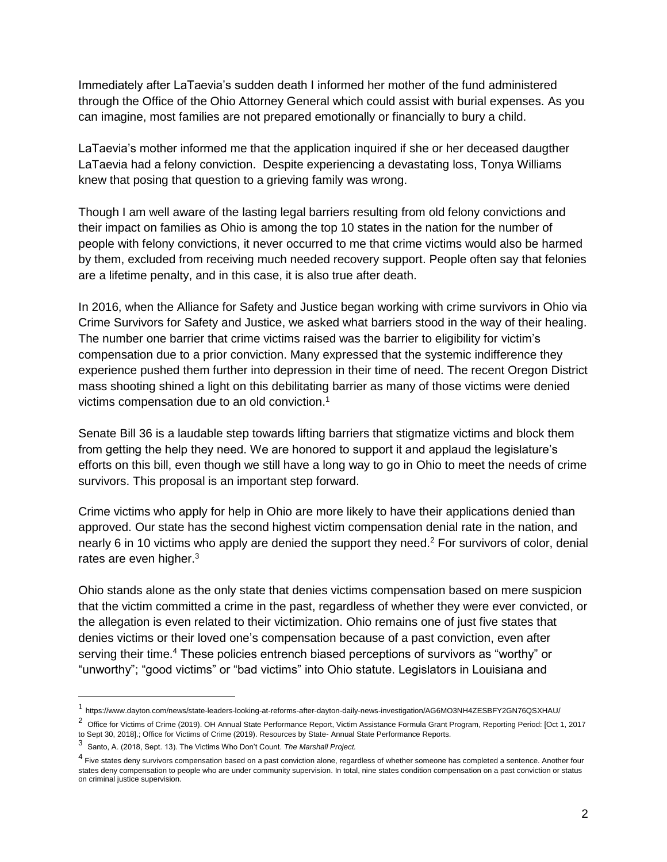Immediately after LaTaevia's sudden death I informed her mother of the fund administered through the Office of the Ohio Attorney General which could assist with burial expenses. As you can imagine, most families are not prepared emotionally or financially to bury a child.

LaTaevia's mother informed me that the application inquired if she or her deceased daugther LaTaevia had a felony conviction. Despite experiencing a devastating loss, Tonya Williams knew that posing that question to a grieving family was wrong.

Though I am well aware of the lasting legal barriers resulting from old felony convictions and their impact on families as Ohio is among the top 10 states in the nation for the number of people with felony convictions, it never occurred to me that crime victims would also be harmed by them, excluded from receiving much needed recovery support. People often say that felonies are a lifetime penalty, and in this case, it is also true after death.

In 2016, when the Alliance for Safety and Justice began working with crime survivors in Ohio via Crime Survivors for Safety and Justice, we asked what barriers stood in the way of their healing. The number one barrier that crime victims raised was the barrier to eligibility for victim's compensation due to a prior conviction. Many expressed that the systemic indifference they experience pushed them further into depression in their time of need. The recent Oregon District mass shooting shined a light on this debilitating barrier as many of those victims were denied victims compensation due to an old conviction.<sup>1</sup>

Senate Bill 36 is a laudable step towards lifting barriers that stigmatize victims and block them from getting the help they need. We are honored to support it and applaud the legislature's efforts on this bill, even though we still have a long way to go in Ohio to meet the needs of crime survivors. This proposal is an important step forward.

Crime victims who apply for help in Ohio are more likely to have their applications denied than approved. Our state has the second highest victim compensation denial rate in the nation, and nearly 6 in 10 victims who apply are denied the support they need.<sup>2</sup> For survivors of color, denial rates are even higher. $3$ 

Ohio stands alone as the only state that denies victims compensation based on mere suspicion that the victim committed a crime in the past, regardless of whether they were ever convicted, or the allegation is even related to their victimization. Ohio remains one of just five states that denies victims or their loved one's compensation because of a past conviction, even after serving their time.<sup>4</sup> These policies entrench biased perceptions of survivors as "worthy" or "unworthy"; "good victims" or "bad victims" into Ohio statute. Legislators in Louisiana and

 $\overline{a}$ 

<sup>1</sup> https://www.dayton.com/news/state-leaders-looking-at-reforms-after-dayton-daily-news-investigation/AG6MO3NH4ZESBFY2GN76QSXHAU/

<sup>&</sup>lt;sup>2</sup> Office for Victims of Crime (2019). OH Annual State Performance Report, Victim Assistance Formula Grant Program, Reporting Period: [Oct 1, 2017 to Sept 30, 2018].; Office for Victims of Crime (2019). Resources by State- Annual State Performance Reports.

<sup>3</sup> Santo, A. (2018, Sept. 13). The Victims Who Don't Count. *The Marshall Project.* 

<sup>&</sup>lt;sup>4</sup> Five states deny survivors compensation based on a past conviction alone, regardless of whether someone has completed a sentence. Another four states deny compensation to people who are under community supervision. In total, nine states condition compensation on a past conviction or status on criminal justice supervision.